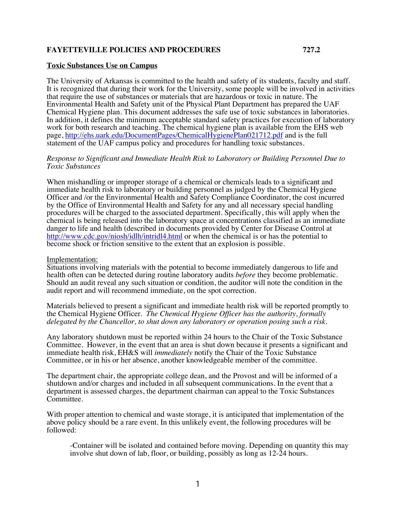## **FAYETTEVILLE POLICIES AND PROCEDURES 727.2**

## **Toxic Substances Use on Campus**

The University of Arkansas is committed to the health and safety of its students, faculty and staff. It is recognized that during their work for the University, some people will be involved in activities that require the use of substances or materials that are hazardous or toxic in nature. The Environmental Health and Safety unit of the Physical Plant Department has prepared the UAF Chemical Hygiene plan. This document addresses the safe use of toxic substances in laboratories. In addition, it defines the minimum acceptable standard safety practices for execution of laboratory work for both research and teaching. The chemical hygiene plan is available from the EHS web page, http://ehs.uark.edu/DocumentPages/ChemicalHygienePlan021712.pdf and is the full statement of the UAF campus policy and procedures for handling toxic substances.

## *Response to Significant and Immediate Health Risk to Laboratory or Building Personnel Due to Toxic Substances*

When mishandling or improper storage of a chemical or chemicals leads to a significant and immediate health risk to laboratory or building personnel as judged by the Chemical Hygiene Officer and /or the Environmental Health and Safety Compliance Coordinator, the cost incurred by the Office of Environmental Health and Safety for any and all necessary special handling procedures will be charged to the associated department. Specifically, this will apply when the chemical is being released into the laboratory space at concentrations classified as an immediate danger to life and health (described in documents provided by Center for Disease Control at http://www.cdc.gov/niosh/idlh/intridl4.html or when the chemical is or has the potential to become shock or friction sensitive to the extent that an explosion is possible.

## Implementation:

Situations involving materials with the potential to become immediately dangerous to life and health often can be detected during routine laboratory audits *before* they become problematic. Should an audit reveal any such situation or condition, the auditor will note the condition in the audit report and will recommend immediate, on the spot correction.

Materials believed to present a significant and immediate health risk will be reported promptly to the Chemical Hygiene Officer. *The Chemical Hygiene Officer has the authority, formally delegated by the Chancellor, to shut down any laboratory or operation posing such a risk.*

Any laboratory shutdown must be reported within 24 hours to the Chair of the Toxic Substance Committee. However, in the event that an area is shut down because it presents a significant and immediate health risk, EH&S will *immediately* notify the Chair of the Toxic Substance Committee, or in his or her absence, another knowledgeable member of the committee.

The department chair, the appropriate college dean, and the Provost and will be informed of a shutdown and/or charges and included in all subsequent communications. In the event that a department is assessed charges, the department chairman can appeal to the Toxic Substances Committee.

With proper attention to chemical and waste storage, it is anticipated that implementation of the above policy should be a rare event. In this unlikely event, the following procedures will be followed:

-Container will be isolated and contained before moving. Depending on quantity this may involve shut down of lab, floor, or building, possibly as long as 12-24 hours.